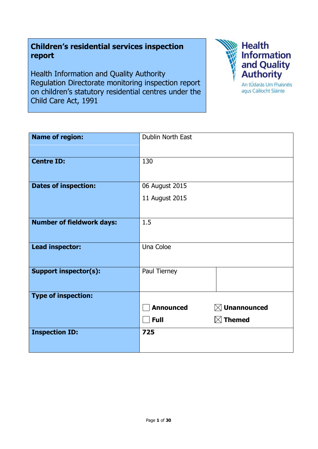**Children's residential services inspection report** 

Health Information and Quality Authority Regulation Directorate monitoring inspection report on children's statutory residential centres under the Child Care Act, 1991



| <b>Name of region:</b>           | Dublin North East |                         |
|----------------------------------|-------------------|-------------------------|
|                                  |                   |                         |
| <b>Centre ID:</b>                | 130               |                         |
| <b>Dates of inspection:</b>      | 06 August 2015    |                         |
|                                  | 11 August 2015    |                         |
|                                  |                   |                         |
| <b>Number of fieldwork days:</b> | 1.5               |                         |
|                                  |                   |                         |
| <b>Lead inspector:</b>           | Una Coloe         |                         |
|                                  |                   |                         |
| <b>Support inspector(s):</b>     | Paul Tierney      |                         |
|                                  |                   |                         |
| <b>Type of inspection:</b>       |                   |                         |
|                                  | <b>Announced</b>  | $\boxtimes$ Unannounced |
|                                  | <b>Full</b>       | $\boxtimes$ Themed      |
| <b>Inspection ID:</b>            | 725               |                         |
|                                  |                   |                         |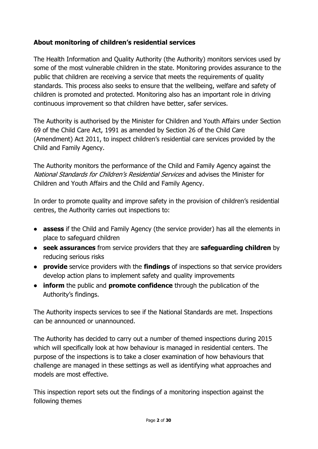# **About monitoring of children's residential services**

The Health Information and Quality Authority (the Authority) monitors services used by some of the most vulnerable children in the state. Monitoring provides assurance to the public that children are receiving a service that meets the requirements of quality standards. This process also seeks to ensure that the wellbeing, welfare and safety of children is promoted and protected. Monitoring also has an important role in driving continuous improvement so that children have better, safer services.

The Authority is authorised by the Minister for Children and Youth Affairs under Section 69 of the Child Care Act, 1991 as amended by Section 26 of the Child Care (Amendment) Act 2011, to inspect children's residential care services provided by the Child and Family Agency.

The Authority monitors the performance of the Child and Family Agency against the National Standards for Children's Residential Services and advises the Minister for Children and Youth Affairs and the Child and Family Agency.

In order to promote quality and improve safety in the provision of children's residential centres, the Authority carries out inspections to:

- **assess** if the Child and Family Agency (the service provider) has all the elements in place to safeguard children
- **seek assurances** from service providers that they are **safeguarding children** by reducing serious risks
- **provide** service providers with the **findings** of inspections so that service providers develop action plans to implement safety and quality improvements
- **inform** the public and **promote confidence** through the publication of the Authority's findings.

The Authority inspects services to see if the National Standards are met. Inspections can be announced or unannounced.

The Authority has decided to carry out a number of themed inspections during 2015 which will specifically look at how behaviour is managed in residential centers. The purpose of the inspections is to take a closer examination of how behaviours that challenge are managed in these settings as well as identifying what approaches and models are most effective.

This inspection report sets out the findings of a monitoring inspection against the following themes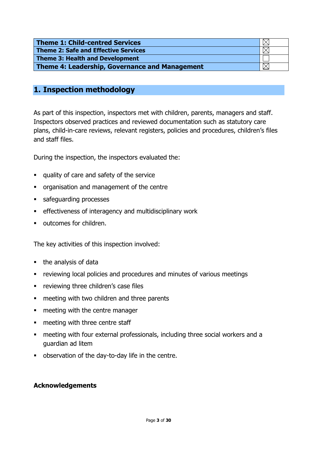| Theme 1: Child-centred Services                |  |
|------------------------------------------------|--|
| Theme 2: Safe and Effective Services           |  |
| Theme 3: Health and Development                |  |
| Theme 4: Leadership, Governance and Management |  |

# **1. Inspection methodology**

As part of this inspection, inspectors met with children, parents, managers and staff. Inspectors observed practices and reviewed documentation such as statutory care plans, child-in-care reviews, relevant registers, policies and procedures, children's files and staff files.

During the inspection, the inspectors evaluated the:

- quality of care and safety of the service
- **•** organisation and management of the centre
- safeguarding processes
- effectiveness of interagency and multidisciplinary work
- outcomes for children.

The key activities of this inspection involved:

- the analysis of data
- reviewing local policies and procedures and minutes of various meetings
- **•** reviewing three children's case files
- **EXEC** meeting with two children and three parents
- meeting with the centre manager
- meeting with three centre staff
- meeting with four external professionals, including three social workers and a guardian ad litem
- **DEDEX** observation of the day-to-day life in the centre.

#### **Acknowledgements**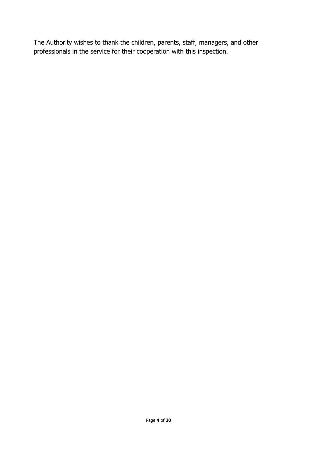The Authority wishes to thank the children, parents, staff, managers, and other professionals in the service for their cooperation with this inspection.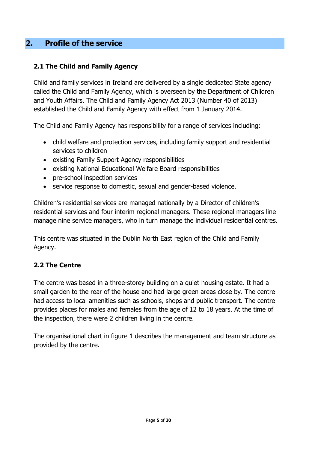# **2. Profile of the service**

# **2.1 The Child and Family Agency**

Child and family services in Ireland are delivered by a single dedicated State agency called the Child and Family Agency, which is overseen by the Department of Children and Youth Affairs. The Child and Family Agency Act 2013 (Number 40 of 2013) established the Child and Family Agency with effect from 1 January 2014.

The Child and Family Agency has responsibility for a range of services including:

- child welfare and protection services, including family support and residential services to children
- existing Family Support Agency responsibilities
- existing National Educational Welfare Board responsibilities
- pre-school inspection services
- service response to domestic, sexual and gender-based violence.

Children's residential services are managed nationally by a Director of children's residential services and four interim regional managers. These regional managers line manage nine service managers, who in turn manage the individual residential centres.

This centre was situated in the Dublin North East region of the Child and Family Agency.

# **2.2 The Centre**

The centre was based in a three-storey building on a quiet housing estate. It had a small garden to the rear of the house and had large green areas close by. The centre had access to local amenities such as schools, shops and public transport. The centre provides places for males and females from the age of 12 to 18 years. At the time of the inspection, there were 2 children living in the centre.

The organisational chart in figure 1 describes the management and team structure as provided by the centre.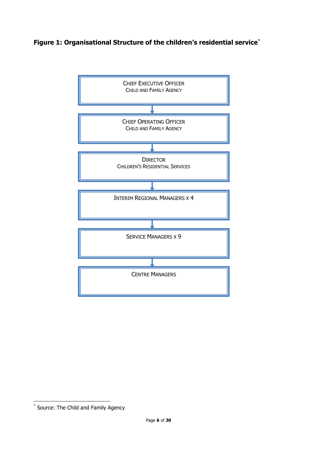# **Figure 1: Organisational Structure of the children's residential service\***



**.** 

<sup>\*</sup> Source: The Child and Family Agency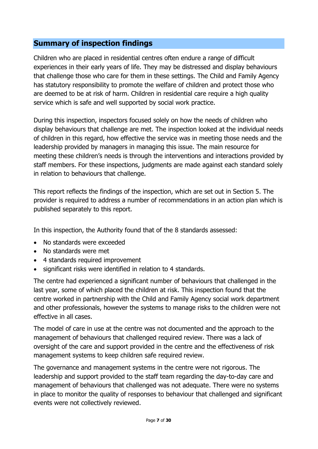# **Summary of inspection findings**

Children who are placed in residential centres often endure a range of difficult experiences in their early years of life. They may be distressed and display behaviours that challenge those who care for them in these settings. The Child and Family Agency has statutory responsibility to promote the welfare of children and protect those who are deemed to be at risk of harm. Children in residential care require a high quality service which is safe and well supported by social work practice.

During this inspection, inspectors focused solely on how the needs of children who display behaviours that challenge are met. The inspection looked at the individual needs of children in this regard, how effective the service was in meeting those needs and the leadership provided by managers in managing this issue. The main resource for meeting these children's needs is through the interventions and interactions provided by staff members. For these inspections, judgments are made against each standard solely in relation to behaviours that challenge.

This report reflects the findings of the inspection, which are set out in Section 5. The provider is required to address a number of recommendations in an action plan which is published separately to this report.

In this inspection, the Authority found that of the 8 standards assessed:

- No standards were exceeded
- No standards were met
- 4 standards required improvement
- significant risks were identified in relation to 4 standards.

The centre had experienced a significant number of behaviours that challenged in the last year, some of which placed the children at risk. This inspection found that the centre worked in partnership with the Child and Family Agency social work department and other professionals, however the systems to manage risks to the children were not effective in all cases.

The model of care in use at the centre was not documented and the approach to the management of behaviours that challenged required review. There was a lack of oversight of the care and support provided in the centre and the effectiveness of risk management systems to keep children safe required review.

The governance and management systems in the centre were not rigorous. The leadership and support provided to the staff team regarding the day-to-day care and management of behaviours that challenged was not adequate. There were no systems in place to monitor the quality of responses to behaviour that challenged and significant events were not collectively reviewed.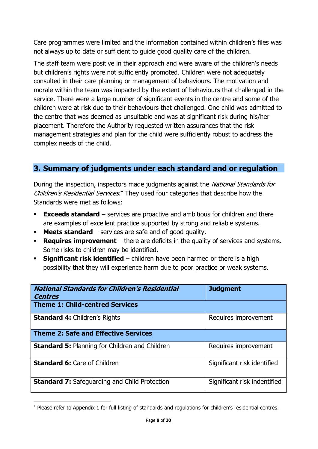Care programmes were limited and the information contained within children's files was not always up to date or sufficient to guide good quality care of the children.

The staff team were positive in their approach and were aware of the children's needs but children's rights were not sufficiently promoted. Children were not adequately consulted in their care planning or management of behaviours. The motivation and morale within the team was impacted by the extent of behaviours that challenged in the service. There were a large number of significant events in the centre and some of the children were at risk due to their behaviours that challenged. One child was admitted to the centre that was deemed as unsuitable and was at significant risk during his/her placement. Therefore the Authority requested written assurances that the risk management strategies and plan for the child were sufficiently robust to address the complex needs of the child.

# **3. Summary of judgments under each standard and or regulation**

During the inspection, inspectors made judgments against the National Standards for Children's Residential Services.<sup>+</sup> They used four categories that describe how the Standards were met as follows:

- **Exceeds standard** services are proactive and ambitious for children and there are examples of excellent practice supported by strong and reliable systems.
- **Meets standard** services are safe and of good quality.
- **Requires improvement** there are deficits in the quality of services and systems. Some risks to children may be identified.
- **Significant risk identified** children have been harmed or there is a high possibility that they will experience harm due to poor practice or weak systems.

| <b>National Standards for Children's Residential</b><br><b>Centres</b> | <b>Judgment</b>              |  |
|------------------------------------------------------------------------|------------------------------|--|
| <b>Theme 1: Child-centred Services</b>                                 |                              |  |
| <b>Standard 4: Children's Rights</b>                                   | Requires improvement         |  |
| <b>Theme 2: Safe and Effective Services</b>                            |                              |  |
| <b>Standard 5: Planning for Children and Children</b>                  | Requires improvement         |  |
| <b>Standard 6: Care of Children</b>                                    | Significant risk identified  |  |
| <b>Standard 7:</b> Safeguarding and Child Protection                   | Significant risk indentified |  |

**<sup>.</sup>** Please refer to Appendix 1 for full listing of standards and regulations for children's residential centres.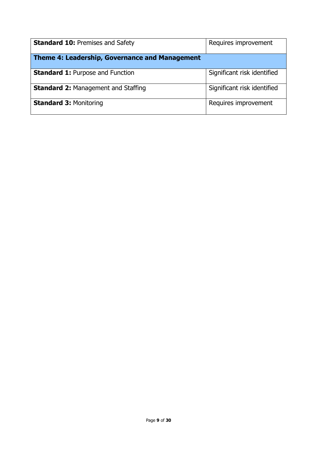| <b>Standard 10: Premises and Safety</b>        | Requires improvement        |  |  |
|------------------------------------------------|-----------------------------|--|--|
| Theme 4: Leadership, Governance and Management |                             |  |  |
| <b>Standard 1: Purpose and Function</b>        | Significant risk identified |  |  |
| <b>Standard 2: Management and Staffing</b>     | Significant risk identified |  |  |
| <b>Standard 3: Monitoring</b>                  | Requires improvement        |  |  |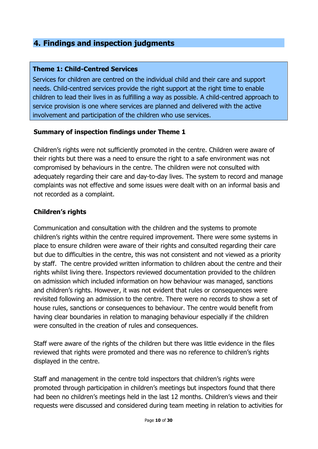# **4. Findings and inspection judgments**

### **Theme 1: Child-Centred Services**

Services for children are centred on the individual child and their care and support needs. Child-centred services provide the right support at the right time to enable children to lead their lives in as fulfilling a way as possible. A child-centred approach to service provision is one where services are planned and delivered with the active involvement and participation of the children who use services.

#### **Summary of inspection findings under Theme 1**

Children's rights were not sufficiently promoted in the centre. Children were aware of their rights but there was a need to ensure the right to a safe environment was not compromised by behaviours in the centre. The children were not consulted with adequately regarding their care and day-to-day lives. The system to record and manage complaints was not effective and some issues were dealt with on an informal basis and not recorded as a complaint.

# **Children's rights**

Communication and consultation with the children and the systems to promote children's rights within the centre required improvement. There were some systems in place to ensure children were aware of their rights and consulted regarding their care but due to difficulties in the centre, this was not consistent and not viewed as a priority by staff. The centre provided written information to children about the centre and their rights whilst living there. Inspectors reviewed documentation provided to the children on admission which included information on how behaviour was managed, sanctions and children's rights. However, it was not evident that rules or consequences were revisited following an admission to the centre. There were no records to show a set of house rules, sanctions or consequences to behaviour. The centre would benefit from having clear boundaries in relation to managing behaviour especially if the children were consulted in the creation of rules and consequences.

Staff were aware of the rights of the children but there was little evidence in the files reviewed that rights were promoted and there was no reference to children's rights displayed in the centre.

Staff and management in the centre told inspectors that children's rights were promoted through participation in children's meetings but inspectors found that there had been no children's meetings held in the last 12 months. Children's views and their requests were discussed and considered during team meeting in relation to activities for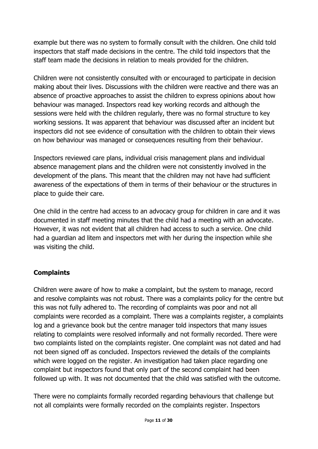example but there was no system to formally consult with the children. One child told inspectors that staff made decisions in the centre. The child told inspectors that the staff team made the decisions in relation to meals provided for the children.

Children were not consistently consulted with or encouraged to participate in decision making about their lives. Discussions with the children were reactive and there was an absence of proactive approaches to assist the children to express opinions about how behaviour was managed. Inspectors read key working records and although the sessions were held with the children regularly, there was no formal structure to key working sessions. It was apparent that behaviour was discussed after an incident but inspectors did not see evidence of consultation with the children to obtain their views on how behaviour was managed or consequences resulting from their behaviour.

Inspectors reviewed care plans, individual crisis management plans and individual absence management plans and the children were not consistently involved in the development of the plans. This meant that the children may not have had sufficient awareness of the expectations of them in terms of their behaviour or the structures in place to guide their care.

One child in the centre had access to an advocacy group for children in care and it was documented in staff meeting minutes that the child had a meeting with an advocate. However, it was not evident that all children had access to such a service. One child had a guardian ad litem and inspectors met with her during the inspection while she was visiting the child.

# **Complaints**

Children were aware of how to make a complaint, but the system to manage, record and resolve complaints was not robust. There was a complaints policy for the centre but this was not fully adhered to. The recording of complaints was poor and not all complaints were recorded as a complaint. There was a complaints register, a complaints log and a grievance book but the centre manager told inspectors that many issues relating to complaints were resolved informally and not formally recorded. There were two complaints listed on the complaints register. One complaint was not dated and had not been signed off as concluded. Inspectors reviewed the details of the complaints which were logged on the register. An investigation had taken place regarding one complaint but inspectors found that only part of the second complaint had been followed up with. It was not documented that the child was satisfied with the outcome.

There were no complaints formally recorded regarding behaviours that challenge but not all complaints were formally recorded on the complaints register. Inspectors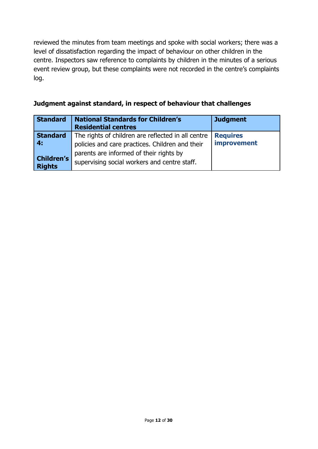reviewed the minutes from team meetings and spoke with social workers; there was a level of dissatisfaction regarding the impact of behaviour on other children in the centre. Inspectors saw reference to complaints by children in the minutes of a serious event review group, but these complaints were not recorded in the centre's complaints log.

|  |  | Judgment against standard, in respect of behaviour that challenges |
|--|--|--------------------------------------------------------------------|
|--|--|--------------------------------------------------------------------|

| <b>Standard</b>                    | <b>National Standards for Children's</b><br><b>Residential centres</b>                                | <b>Judgment</b>                |
|------------------------------------|-------------------------------------------------------------------------------------------------------|--------------------------------|
| <b>Standard</b><br>4:              | The rights of children are reflected in all centre<br>policies and care practices. Children and their | <b>Requires</b><br>improvement |
| <b>Children's</b><br><b>Rights</b> | parents are informed of their rights by<br>supervising social workers and centre staff.               |                                |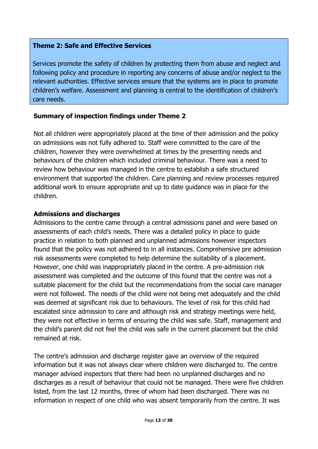# **Theme 2: Safe and Effective Services**

Services promote the safety of children by protecting them from abuse and neglect and following policy and procedure in reporting any concerns of abuse and/or neglect to the relevant authorities. Effective services ensure that the systems are in place to promote children's welfare. Assessment and planning is central to the identification of children's care needs.

# **Summary of inspection findings under Theme 2**

Not all children were appropriately placed at the time of their admission and the policy on admissions was not fully adhered to. Staff were committed to the care of the children, however they were overwhelmed at times by the presenting needs and behaviours of the children which included criminal behaviour. There was a need to review how behaviour was managed in the centre to establish a safe structured environment that supported the children. Care planning and review processes required additional work to ensure appropriate and up to date guidance was in place for the children.

# **Admissions and discharges**

Admissions to the centre came through a central admissions panel and were based on assessments of each child's needs. There was a detailed policy in place to guide practice in relation to both planned and unplanned admissions however inspectors found that the policy was not adhered to in all instances. Comprehensive pre admission risk assessments were completed to help determine the suitability of a placement. However, one child was inappropriately placed in the centre. A pre-admission risk assessment was completed and the outcome of this found that the centre was not a suitable placement for the child but the recommendations from the social care manager were not followed. The needs of the child were not being met adequately and the child was deemed at significant risk due to behaviours. The level of risk for this child had escalated since admission to care and although risk and strategy meetings were held, they were not effective in terms of ensuring the child was safe. Staff, management and the child's parent did not feel the child was safe in the current placement but the child remained at risk.

The centre's admission and discharge register gave an overview of the required information but it was not always clear where children were discharged to. The centre manager advised inspectors that there had been no unplanned discharges and no discharges as a result of behaviour that could not be managed. There were five children listed, from the last 12 months, three of whom had been discharged. There was no information in respect of one child who was absent temporarily from the centre. It was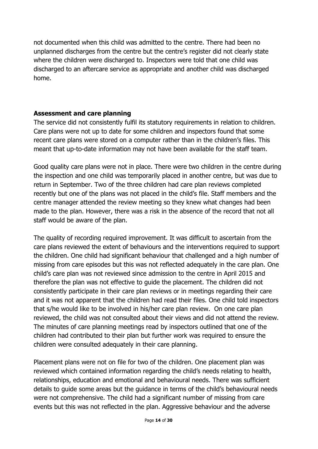not documented when this child was admitted to the centre. There had been no unplanned discharges from the centre but the centre's register did not clearly state where the children were discharged to. Inspectors were told that one child was discharged to an aftercare service as appropriate and another child was discharged home.

### **Assessment and care planning**

The service did not consistently fulfil its statutory requirements in relation to children. Care plans were not up to date for some children and inspectors found that some recent care plans were stored on a computer rather than in the children's files. This meant that up-to-date information may not have been available for the staff team.

Good quality care plans were not in place. There were two children in the centre during the inspection and one child was temporarily placed in another centre, but was due to return in September. Two of the three children had care plan reviews completed recently but one of the plans was not placed in the child's file. Staff members and the centre manager attended the review meeting so they knew what changes had been made to the plan. However, there was a risk in the absence of the record that not all staff would be aware of the plan.

The quality of recording required improvement. It was difficult to ascertain from the care plans reviewed the extent of behaviours and the interventions required to support the children. One child had significant behaviour that challenged and a high number of missing from care episodes but this was not reflected adequately in the care plan. One child's care plan was not reviewed since admission to the centre in April 2015 and therefore the plan was not effective to guide the placement. The children did not consistently participate in their care plan reviews or in meetings regarding their care and it was not apparent that the children had read their files. One child told inspectors that s/he would like to be involved in his/her care plan review. On one care plan reviewed, the child was not consulted about their views and did not attend the review. The minutes of care planning meetings read by inspectors outlined that one of the children had contributed to their plan but further work was required to ensure the children were consulted adequately in their care planning.

Placement plans were not on file for two of the children. One placement plan was reviewed which contained information regarding the child's needs relating to health, relationships, education and emotional and behavioural needs. There was sufficient details to guide some areas but the guidance in terms of the child's behavioural needs were not comprehensive. The child had a significant number of missing from care events but this was not reflected in the plan. Aggressive behaviour and the adverse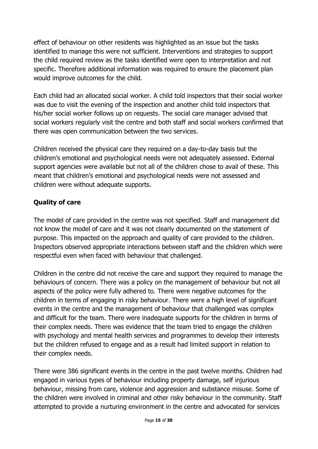effect of behaviour on other residents was highlighted as an issue but the tasks identified to manage this were not sufficient. Interventions and strategies to support the child required review as the tasks identified were open to interpretation and not specific. Therefore additional information was required to ensure the placement plan would improve outcomes for the child.

Each child had an allocated social worker. A child told inspectors that their social worker was due to visit the evening of the inspection and another child told inspectors that his/her social worker follows up on requests. The social care manager advised that social workers regularly visit the centre and both staff and social workers confirmed that there was open communication between the two services.

Children received the physical care they required on a day-to-day basis but the children's emotional and psychological needs were not adequately assessed. External support agencies were available but not all of the children chose to avail of these. This meant that children's emotional and psychological needs were not assessed and children were without adequate supports.

# **Quality of care**

The model of care provided in the centre was not specified. Staff and management did not know the model of care and it was not clearly documented on the statement of purpose. This impacted on the approach and quality of care provided to the children. Inspectors observed appropriate interactions between staff and the children which were respectful even when faced with behaviour that challenged.

Children in the centre did not receive the care and support they required to manage the behaviours of concern. There was a policy on the management of behaviour but not all aspects of the policy were fully adhered to. There were negative outcomes for the children in terms of engaging in risky behaviour. There were a high level of significant events in the centre and the management of behaviour that challenged was complex and difficult for the team. There were inadequate supports for the children in terms of their complex needs. There was evidence that the team tried to engage the children with psychology and mental health services and programmes to develop their interests but the children refused to engage and as a result had limited support in relation to their complex needs.

There were 386 significant events in the centre in the past twelve months. Children had engaged in various types of behaviour including property damage, self injurious behaviour, missing from care, violence and aggression and substance misuse. Some of the children were involved in criminal and other risky behaviour in the community. Staff attempted to provide a nurturing environment in the centre and advocated for services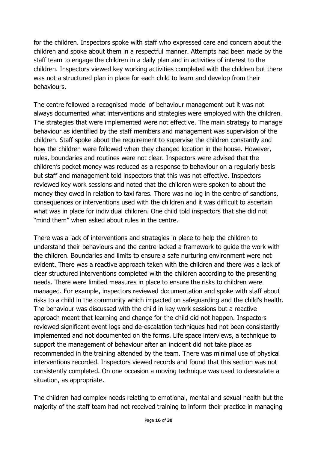for the children. Inspectors spoke with staff who expressed care and concern about the children and spoke about them in a respectful manner. Attempts had been made by the staff team to engage the children in a daily plan and in activities of interest to the children. Inspectors viewed key working activities completed with the children but there was not a structured plan in place for each child to learn and develop from their behaviours.

The centre followed a recognised model of behaviour management but it was not always documented what interventions and strategies were employed with the children. The strategies that were implemented were not effective. The main strategy to manage behaviour as identified by the staff members and management was supervision of the children. Staff spoke about the requirement to supervise the children constantly and how the children were followed when they changed location in the house. However, rules, boundaries and routines were not clear. Inspectors were advised that the children's pocket money was reduced as a response to behaviour on a regularly basis but staff and management told inspectors that this was not effective. Inspectors reviewed key work sessions and noted that the children were spoken to about the money they owed in relation to taxi fares. There was no log in the centre of sanctions, consequences or interventions used with the children and it was difficult to ascertain what was in place for individual children. One child told inspectors that she did not "mind them" when asked about rules in the centre.

There was a lack of interventions and strategies in place to help the children to understand their behaviours and the centre lacked a framework to guide the work with the children. Boundaries and limits to ensure a safe nurturing environment were not evident. There was a reactive approach taken with the children and there was a lack of clear structured interventions completed with the children according to the presenting needs. There were limited measures in place to ensure the risks to children were managed. For example, inspectors reviewed documentation and spoke with staff about risks to a child in the community which impacted on safeguarding and the child's health. The behaviour was discussed with the child in key work sessions but a reactive approach meant that learning and change for the child did not happen. Inspectors reviewed significant event logs and de-escalation techniques had not been consistently implemented and not documented on the forms. Life space interviews, a technique to support the management of behaviour after an incident did not take place as recommended in the training attended by the team. There was minimal use of physical interventions recorded. Inspectors viewed records and found that this section was not consistently completed. On one occasion a moving technique was used to deescalate a situation, as appropriate.

The children had complex needs relating to emotional, mental and sexual health but the majority of the staff team had not received training to inform their practice in managing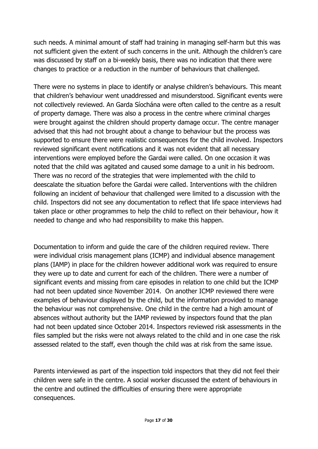such needs. A minimal amount of staff had training in managing self-harm but this was not sufficient given the extent of such concerns in the unit. Although the children's care was discussed by staff on a bi-weekly basis, there was no indication that there were changes to practice or a reduction in the number of behaviours that challenged.

There were no systems in place to identify or analyse children's behaviours. This meant that children's behaviour went unaddressed and misunderstood. Significant events were not collectively reviewed. An Garda Síochána were often called to the centre as a result of property damage. There was also a process in the centre where criminal charges were brought against the children should property damage occur. The centre manager advised that this had not brought about a change to behaviour but the process was supported to ensure there were realistic consequences for the child involved. Inspectors reviewed significant event notifications and it was not evident that all necessary interventions were employed before the Gardai were called. On one occasion it was noted that the child was agitated and caused some damage to a unit in his bedroom. There was no record of the strategies that were implemented with the child to deescalate the situation before the Gardai were called. Interventions with the children following an incident of behaviour that challenged were limited to a discussion with the child. Inspectors did not see any documentation to reflect that life space interviews had taken place or other programmes to help the child to reflect on their behaviour, how it needed to change and who had responsibility to make this happen.

Documentation to inform and guide the care of the children required review. There were individual crisis management plans (ICMP) and individual absence management plans (IAMP) in place for the children however additional work was required to ensure they were up to date and current for each of the children. There were a number of significant events and missing from care episodes in relation to one child but the ICMP had not been updated since November 2014. On another ICMP reviewed there were examples of behaviour displayed by the child, but the information provided to manage the behaviour was not comprehensive. One child in the centre had a high amount of absences without authority but the IAMP reviewed by inspectors found that the plan had not been updated since October 2014. Inspectors reviewed risk assessments in the files sampled but the risks were not always related to the child and in one case the risk assessed related to the staff, even though the child was at risk from the same issue.

Parents interviewed as part of the inspection told inspectors that they did not feel their children were safe in the centre. A social worker discussed the extent of behaviours in the centre and outlined the difficulties of ensuring there were appropriate consequences.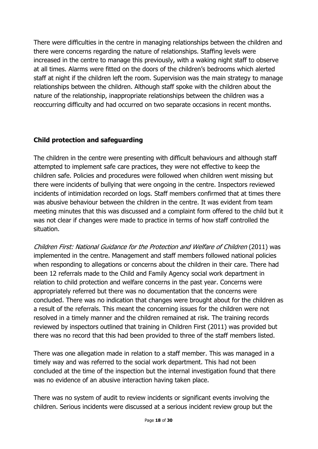There were difficulties in the centre in managing relationships between the children and there were concerns regarding the nature of relationships. Staffing levels were increased in the centre to manage this previously, with a waking night staff to observe at all times. Alarms were fitted on the doors of the children's bedrooms which alerted staff at night if the children left the room. Supervision was the main strategy to manage relationships between the children. Although staff spoke with the children about the nature of the relationship, inappropriate relationships between the children was a reoccurring difficulty and had occurred on two separate occasions in recent months.

# **Child protection and safeguarding**

The children in the centre were presenting with difficult behaviours and although staff attempted to implement safe care practices, they were not effective to keep the children safe. Policies and procedures were followed when children went missing but there were incidents of bullying that were ongoing in the centre. Inspectors reviewed incidents of intimidation recorded on logs. Staff members confirmed that at times there was abusive behaviour between the children in the centre. It was evident from team meeting minutes that this was discussed and a complaint form offered to the child but it was not clear if changes were made to practice in terms of how staff controlled the situation.

Children First: National Guidance for the Protection and Welfare of Children (2011) was implemented in the centre. Management and staff members followed national policies when responding to allegations or concerns about the children in their care. There had been 12 referrals made to the Child and Family Agency social work department in relation to child protection and welfare concerns in the past year. Concerns were appropriately referred but there was no documentation that the concerns were concluded. There was no indication that changes were brought about for the children as a result of the referrals. This meant the concerning issues for the children were not resolved in a timely manner and the children remained at risk. The training records reviewed by inspectors outlined that training in Children First (2011) was provided but there was no record that this had been provided to three of the staff members listed.

There was one allegation made in relation to a staff member. This was managed in a timely way and was referred to the social work department. This had not been concluded at the time of the inspection but the internal investigation found that there was no evidence of an abusive interaction having taken place.

There was no system of audit to review incidents or significant events involving the children. Serious incidents were discussed at a serious incident review group but the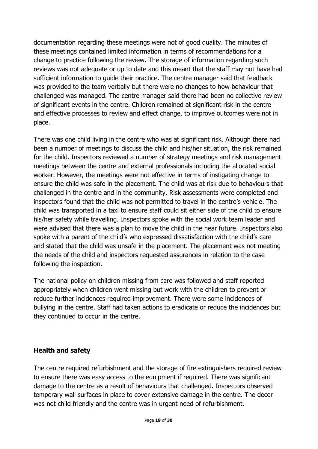documentation regarding these meetings were not of good quality. The minutes of these meetings contained limited information in terms of recommendations for a change to practice following the review. The storage of information regarding such reviews was not adequate or up to date and this meant that the staff may not have had sufficient information to guide their practice. The centre manager said that feedback was provided to the team verbally but there were no changes to how behaviour that challenged was managed. The centre manager said there had been no collective review of significant events in the centre. Children remained at significant risk in the centre and effective processes to review and effect change, to improve outcomes were not in place.

There was one child living in the centre who was at significant risk. Although there had been a number of meetings to discuss the child and his/her situation, the risk remained for the child. Inspectors reviewed a number of strategy meetings and risk management meetings between the centre and external professionals including the allocated social worker. However, the meetings were not effective in terms of instigating change to ensure the child was safe in the placement. The child was at risk due to behaviours that challenged in the centre and in the community. Risk assessments were completed and inspectors found that the child was not permitted to travel in the centre's vehicle. The child was transported in a taxi to ensure staff could sit either side of the child to ensure his/her safety while travelling. Inspectors spoke with the social work team leader and were advised that there was a plan to move the child in the near future. Inspectors also spoke with a parent of the child's who expressed dissatisfaction with the child's care and stated that the child was unsafe in the placement. The placement was not meeting the needs of the child and inspectors requested assurances in relation to the case following the inspection.

The national policy on children missing from care was followed and staff reported appropriately when children went missing but work with the children to prevent or reduce further incidences required improvement. There were some incidences of bullying in the centre. Staff had taken actions to eradicate or reduce the incidences but they continued to occur in the centre.

#### **Health and safety**

The centre required refurbishment and the storage of fire extinguishers required review to ensure there was easy access to the equipment if required. There was significant damage to the centre as a result of behaviours that challenged. Inspectors observed temporary wall surfaces in place to cover extensive damage in the centre. The decor was not child friendly and the centre was in urgent need of refurbishment.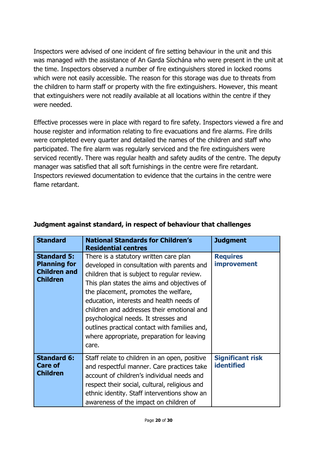Inspectors were advised of one incident of fire setting behaviour in the unit and this was managed with the assistance of An Garda Síochána who were present in the unit at the time. Inspectors observed a number of fire extinguishers stored in locked rooms which were not easily accessible. The reason for this storage was due to threats from the children to harm staff or property with the fire extinguishers. However, this meant that extinguishers were not readily available at all locations within the centre if they were needed.

Effective processes were in place with regard to fire safety. Inspectors viewed a fire and house register and information relating to fire evacuations and fire alarms. Fire drills were completed every quarter and detailed the names of the children and staff who participated. The fire alarm was regularly serviced and the fire extinguishers were serviced recently. There was regular health and safety audits of the centre. The deputy manager was satisfied that all soft furnishings in the centre were fire retardant. Inspectors reviewed documentation to evidence that the curtains in the centre were flame retardant.

| <b>Standard</b>                                                                     | <b>National Standards for Children's</b><br><b>Residential centres</b>                                                                                                                                                                                                                                                                                                                                                                                               | <b>Judgment</b>                              |
|-------------------------------------------------------------------------------------|----------------------------------------------------------------------------------------------------------------------------------------------------------------------------------------------------------------------------------------------------------------------------------------------------------------------------------------------------------------------------------------------------------------------------------------------------------------------|----------------------------------------------|
| <b>Standard 5:</b><br><b>Planning for</b><br><b>Children and</b><br><b>Children</b> | There is a statutory written care plan<br>developed in consultation with parents and<br>children that is subject to regular review.<br>This plan states the aims and objectives of<br>the placement, promotes the welfare,<br>education, interests and health needs of<br>children and addresses their emotional and<br>psychological needs. It stresses and<br>outlines practical contact with families and,<br>where appropriate, preparation for leaving<br>care. | <b>Requires</b><br><b>improvement</b>        |
| <b>Standard 6:</b><br><b>Care of</b><br><b>Children</b>                             | Staff relate to children in an open, positive<br>and respectful manner. Care practices take<br>account of children's individual needs and<br>respect their social, cultural, religious and<br>ethnic identity. Staff interventions show an<br>awareness of the impact on children of                                                                                                                                                                                 | <b>Significant risk</b><br><b>identified</b> |

# **Judgment against standard, in respect of behaviour that challenges**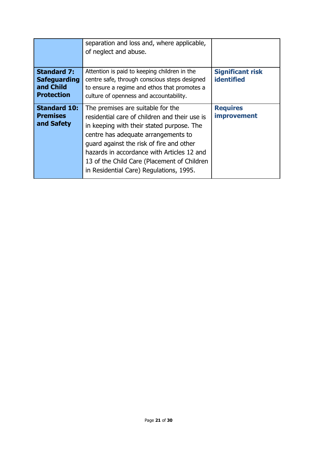|                                                                             | separation and loss and, where applicable,<br>of neglect and abuse.                                                                                                                                                                                                                                                                                        |                                              |
|-----------------------------------------------------------------------------|------------------------------------------------------------------------------------------------------------------------------------------------------------------------------------------------------------------------------------------------------------------------------------------------------------------------------------------------------------|----------------------------------------------|
| <b>Standard 7:</b><br><b>Safeguarding</b><br>and Child<br><b>Protection</b> | Attention is paid to keeping children in the<br>centre safe, through conscious steps designed<br>to ensure a regime and ethos that promotes a<br>culture of openness and accountability.                                                                                                                                                                   | <b>Significant risk</b><br><b>identified</b> |
| <b>Standard 10:</b><br><b>Premises</b><br>and Safety                        | The premises are suitable for the<br>residential care of children and their use is<br>in keeping with their stated purpose. The<br>centre has adequate arrangements to<br>guard against the risk of fire and other<br>hazards in accordance with Articles 12 and<br>13 of the Child Care (Placement of Children<br>in Residential Care) Regulations, 1995. | <b>Requires</b><br><i>improvement</i>        |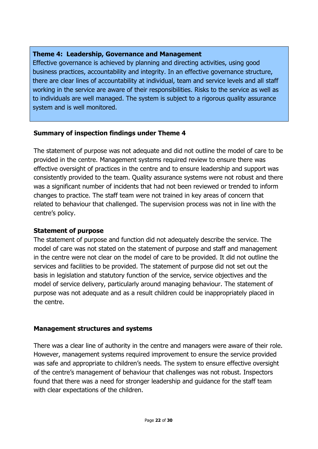# **Theme 4: Leadership, Governance and Management**

Effective governance is achieved by planning and directing activities, using good business practices, accountability and integrity. In an effective governance structure, there are clear lines of accountability at individual, team and service levels and all staff working in the service are aware of their responsibilities. Risks to the service as well as to individuals are well managed. The system is subject to a rigorous quality assurance system and is well monitored.

# **Summary of inspection findings under Theme 4**

The statement of purpose was not adequate and did not outline the model of care to be provided in the centre. Management systems required review to ensure there was effective oversight of practices in the centre and to ensure leadership and support was consistently provided to the team. Quality assurance systems were not robust and there was a significant number of incidents that had not been reviewed or trended to inform changes to practice. The staff team were not trained in key areas of concern that related to behaviour that challenged. The supervision process was not in line with the centre's policy.

# **Statement of purpose**

The statement of purpose and function did not adequately describe the service. The model of care was not stated on the statement of purpose and staff and management in the centre were not clear on the model of care to be provided. It did not outline the services and facilities to be provided. The statement of purpose did not set out the basis in legislation and statutory function of the service, service objectives and the model of service delivery, particularly around managing behaviour. The statement of purpose was not adequate and as a result children could be inappropriately placed in the centre.

# **Management structures and systems**

There was a clear line of authority in the centre and managers were aware of their role. However, management systems required improvement to ensure the service provided was safe and appropriate to children's needs. The system to ensure effective oversight of the centre's management of behaviour that challenges was not robust. Inspectors found that there was a need for stronger leadership and guidance for the staff team with clear expectations of the children.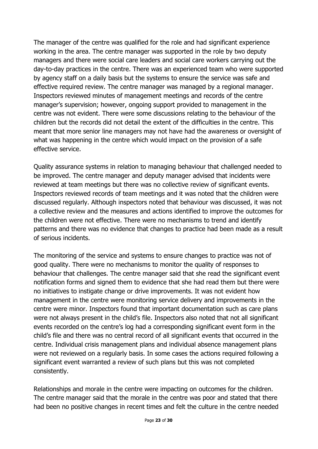The manager of the centre was qualified for the role and had significant experience working in the area. The centre manager was supported in the role by two deputy managers and there were social care leaders and social care workers carrying out the day-to-day practices in the centre. There was an experienced team who were supported by agency staff on a daily basis but the systems to ensure the service was safe and effective required review. The centre manager was managed by a regional manager. Inspectors reviewed minutes of management meetings and records of the centre manager's supervision; however, ongoing support provided to management in the centre was not evident. There were some discussions relating to the behaviour of the children but the records did not detail the extent of the difficulties in the centre. This meant that more senior line managers may not have had the awareness or oversight of what was happening in the centre which would impact on the provision of a safe effective service.

Quality assurance systems in relation to managing behaviour that challenged needed to be improved. The centre manager and deputy manager advised that incidents were reviewed at team meetings but there was no collective review of significant events. Inspectors reviewed records of team meetings and it was noted that the children were discussed regularly. Although inspectors noted that behaviour was discussed, it was not a collective review and the measures and actions identified to improve the outcomes for the children were not effective. There were no mechanisms to trend and identify patterns and there was no evidence that changes to practice had been made as a result of serious incidents.

The monitoring of the service and systems to ensure changes to practice was not of good quality. There were no mechanisms to monitor the quality of responses to behaviour that challenges. The centre manager said that she read the significant event notification forms and signed them to evidence that she had read them but there were no initiatives to instigate change or drive improvements. It was not evident how management in the centre were monitoring service delivery and improvements in the centre were minor. Inspectors found that important documentation such as care plans were not always present in the child's file. Inspectors also noted that not all significant events recorded on the centre's log had a corresponding significant event form in the child's file and there was no central record of all significant events that occurred in the centre. Individual crisis management plans and individual absence management plans were not reviewed on a regularly basis. In some cases the actions required following a significant event warranted a review of such plans but this was not completed consistently.

Relationships and morale in the centre were impacting on outcomes for the children. The centre manager said that the morale in the centre was poor and stated that there had been no positive changes in recent times and felt the culture in the centre needed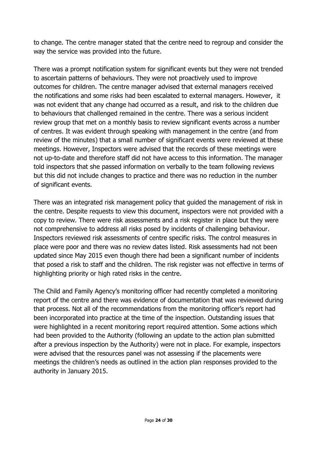to change. The centre manager stated that the centre need to regroup and consider the way the service was provided into the future.

There was a prompt notification system for significant events but they were not trended to ascertain patterns of behaviours. They were not proactively used to improve outcomes for children. The centre manager advised that external managers received the notifications and some risks had been escalated to external managers. However, it was not evident that any change had occurred as a result, and risk to the children due to behaviours that challenged remained in the centre. There was a serious incident review group that met on a monthly basis to review significant events across a number of centres. It was evident through speaking with management in the centre (and from review of the minutes) that a small number of significant events were reviewed at these meetings. However, Inspectors were advised that the records of these meetings were not up-to-date and therefore staff did not have access to this information. The manager told inspectors that she passed information on verbally to the team following reviews but this did not include changes to practice and there was no reduction in the number of significant events.

There was an integrated risk management policy that guided the management of risk in the centre. Despite requests to view this document, inspectors were not provided with a copy to review. There were risk assessments and a risk register in place but they were not comprehensive to address all risks posed by incidents of challenging behaviour. Inspectors reviewed risk assessments of centre specific risks. The control measures in place were poor and there was no review dates listed. Risk assessments had not been updated since May 2015 even though there had been a significant number of incidents that posed a risk to staff and the children. The risk register was not effective in terms of highlighting priority or high rated risks in the centre.

The Child and Family Agency's monitoring officer had recently completed a monitoring report of the centre and there was evidence of documentation that was reviewed during that process. Not all of the recommendations from the monitoring officer's report had been incorporated into practice at the time of the inspection. Outstanding issues that were highlighted in a recent monitoring report required attention. Some actions which had been provided to the Authority (following an update to the action plan submitted after a previous inspection by the Authority) were not in place. For example, inspectors were advised that the resources panel was not assessing if the placements were meetings the children's needs as outlined in the action plan responses provided to the authority in January 2015.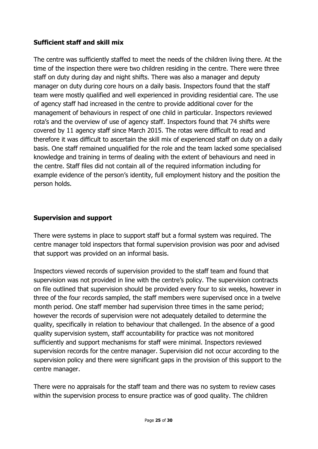# **Sufficient staff and skill mix**

The centre was sufficiently staffed to meet the needs of the children living there. At the time of the inspection there were two children residing in the centre. There were three staff on duty during day and night shifts. There was also a manager and deputy manager on duty during core hours on a daily basis. Inspectors found that the staff team were mostly qualified and well experienced in providing residential care. The use of agency staff had increased in the centre to provide additional cover for the management of behaviours in respect of one child in particular. Inspectors reviewed rota's and the overview of use of agency staff. Inspectors found that 74 shifts were covered by 11 agency staff since March 2015. The rotas were difficult to read and therefore it was difficult to ascertain the skill mix of experienced staff on duty on a daily basis. One staff remained unqualified for the role and the team lacked some specialised knowledge and training in terms of dealing with the extent of behaviours and need in the centre. Staff files did not contain all of the required information including for example evidence of the person's identity, full employment history and the position the person holds.

### **Supervision and support**

There were systems in place to support staff but a formal system was required. The centre manager told inspectors that formal supervision provision was poor and advised that support was provided on an informal basis.

Inspectors viewed records of supervision provided to the staff team and found that supervision was not provided in line with the centre's policy. The supervision contracts on file outlined that supervision should be provided every four to six weeks, however in three of the four records sampled, the staff members were supervised once in a twelve month period. One staff member had supervision three times in the same period; however the records of supervision were not adequately detailed to determine the quality, specifically in relation to behaviour that challenged. In the absence of a good quality supervision system, staff accountability for practice was not monitored sufficiently and support mechanisms for staff were minimal. Inspectors reviewed supervision records for the centre manager. Supervision did not occur according to the supervision policy and there were significant gaps in the provision of this support to the centre manager.

There were no appraisals for the staff team and there was no system to review cases within the supervision process to ensure practice was of good quality. The children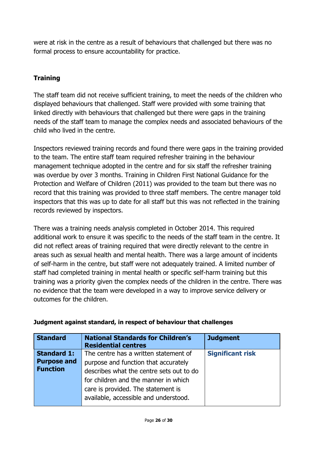were at risk in the centre as a result of behaviours that challenged but there was no formal process to ensure accountability for practice.

# **Training**

The staff team did not receive sufficient training, to meet the needs of the children who displayed behaviours that challenged. Staff were provided with some training that linked directly with behaviours that challenged but there were gaps in the training needs of the staff team to manage the complex needs and associated behaviours of the child who lived in the centre.

Inspectors reviewed training records and found there were gaps in the training provided to the team. The entire staff team required refresher training in the behaviour management technique adopted in the centre and for six staff the refresher training was overdue by over 3 months. Training in Children First National Guidance for the Protection and Welfare of Children (2011) was provided to the team but there was no record that this training was provided to three staff members. The centre manager told inspectors that this was up to date for all staff but this was not reflected in the training records reviewed by inspectors.

There was a training needs analysis completed in October 2014. This required additional work to ensure it was specific to the needs of the staff team in the centre. It did not reflect areas of training required that were directly relevant to the centre in areas such as sexual health and mental health. There was a large amount of incidents of self-harm in the centre, but staff were not adequately trained. A limited number of staff had completed training in mental health or specific self-harm training but this training was a priority given the complex needs of the children in the centre. There was no evidence that the team were developed in a way to improve service delivery or outcomes for the children.

| <b>Standard</b>    | <b>National Standards for Children's</b><br><b>Residential centres</b> | <b>Judgment</b>         |
|--------------------|------------------------------------------------------------------------|-------------------------|
| <b>Standard 1:</b> | The centre has a written statement of                                  | <b>Significant risk</b> |
| <b>Purpose and</b> | purpose and function that accurately                                   |                         |
| <b>Function</b>    | describes what the centre sets out to do                               |                         |
|                    | for children and the manner in which                                   |                         |
|                    | care is provided. The statement is                                     |                         |
|                    | available, accessible and understood.                                  |                         |

# **Judgment against standard, in respect of behaviour that challenges**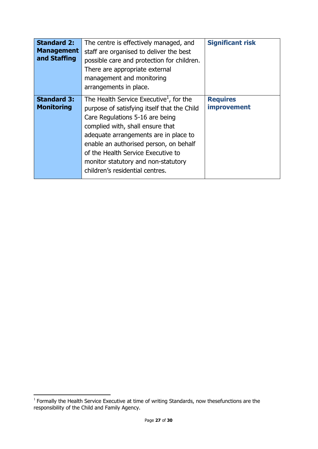| <b>Standard 2:</b><br><b>Management</b><br>and Staffing | The centre is effectively managed, and<br>staff are organised to deliver the best<br>possible care and protection for children.<br>There are appropriate external<br>management and monitoring<br>arrangements in place.                                                                                                                                                     | <b>Significant risk</b>               |
|---------------------------------------------------------|------------------------------------------------------------------------------------------------------------------------------------------------------------------------------------------------------------------------------------------------------------------------------------------------------------------------------------------------------------------------------|---------------------------------------|
| <b>Standard 3:</b><br><b>Monitoring</b>                 | The Health Service Executive <sup>1</sup> , for the<br>purpose of satisfying itself that the Child<br>Care Regulations 5-16 are being<br>complied with, shall ensure that<br>adequate arrangements are in place to<br>enable an authorised person, on behalf<br>of the Health Service Executive to<br>monitor statutory and non-statutory<br>children's residential centres. | <b>Requires</b><br><i>improvement</i> |

 1 Formally the Health Service Executive at time of writing Standards, now thesefunctions are the responsibility of the Child and Family Agency.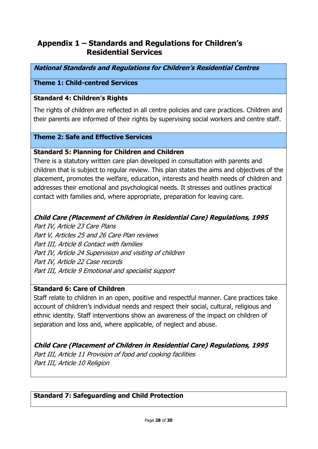# **Appendix 1 – Standards and Regulations for Children's Residential Services**

**National Standards and Regulations for Children's Residential Centres** 

### **Theme 1: Child-centred Services**

### **Standard 4: Children's Rights**

The rights of children are reflected in all centre policies and care practices. Children and their parents are informed of their rights by supervising social workers and centre staff.

#### **Theme 2: Safe and Effective Services**

#### **Standard 5: Planning for Children and Children**

There is a statutory written care plan developed in consultation with parents and children that is subject to regular review. This plan states the aims and objectives of the placement, promotes the welfare, education, interests and health needs of children and addresses their emotional and psychological needs. It stresses and outlines practical contact with families and, where appropriate, preparation for leaving care.

### **Child Care (Placement of Children in Residential Care) Regulations, 1995**

Part IV, Article 23 Care Plans Part V, Articles 25 and 26 Care Plan reviews Part III, Article 8 Contact with families Part IV, Article 24 Supervision and visiting of children Part IV, Article 22 Case records Part III, Article 9 Emotional and specialist support

### **Standard 6: Care of Children**

Staff relate to children in an open, positive and respectful manner. Care practices take account of children's individual needs and respect their social, cultural, religious and ethnic identity. Staff interventions show an awareness of the impact on children of separation and loss and, where applicable, of neglect and abuse.

**Child Care (Placement of Children in Residential Care) Regulations, 1995**  Part III, Article 11 Provision of food and cooking facilities Part III, Article 10 Religion

#### **Standard 7: Safeguarding and Child Protection**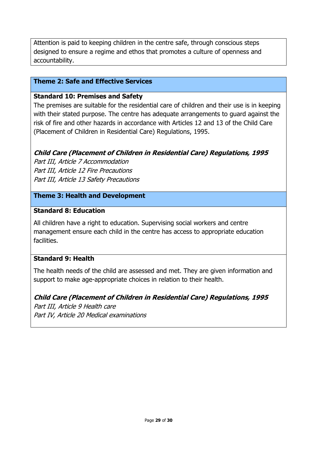Attention is paid to keeping children in the centre safe, through conscious steps designed to ensure a regime and ethos that promotes a culture of openness and accountability.

### **Theme 2: Safe and Effective Services**

### **Standard 10: Premises and Safety**

The premises are suitable for the residential care of children and their use is in keeping with their stated purpose. The centre has adequate arrangements to guard against the risk of fire and other hazards in accordance with Articles 12 and 13 of the Child Care (Placement of Children in Residential Care) Regulations, 1995.

# **Child Care (Placement of Children in Residential Care) Regulations, 1995**

Part III, Article 7 Accommodation Part III, Article 12 Fire Precautions Part III, Article 13 Safety Precautions

### **Theme 3: Health and Development**

### **Standard 8: Education**

All children have a right to education. Supervising social workers and centre management ensure each child in the centre has access to appropriate education facilities.

# **Standard 9: Health**

The health needs of the child are assessed and met. They are given information and support to make age-appropriate choices in relation to their health.

#### **Child Care (Placement of Children in Residential Care) Regulations, 1995**

Part III, Article 9 Health care Part IV, Article 20 Medical examinations